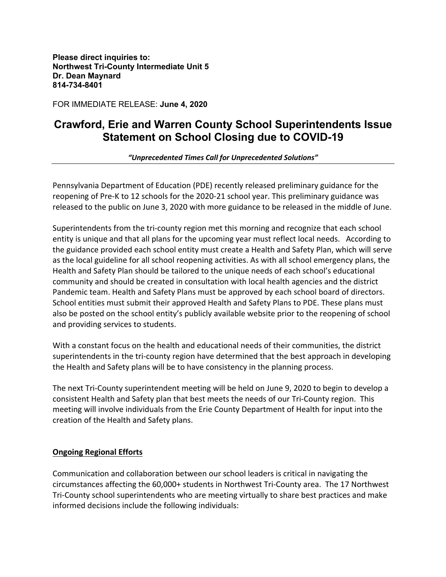**Please direct inquiries to: Northwest Tri-County Intermediate Unit 5 Dr. Dean Maynard 814-734-8401**

FOR IMMEDIATE RELEASE: **June 4, 2020**

## **Crawford, Erie and Warren County School Superintendents Issue Statement on School Closing due to COVID-19**

*"Unprecedented Times Call for Unprecedented Solutions"*

Pennsylvania Department of Education (PDE) recently released preliminary guidance for the reopening of Pre-K to 12 schools for the 2020-21 school year. This preliminary guidance was released to the public on June 3, 2020 with more guidance to be released in the middle of June.

Superintendents from the tri-county region met this morning and recognize that each school entity is unique and that all plans for the upcoming year must reflect local needs. According to the guidance provided each school entity must create a Health and Safety Plan, which will serve as the local guideline for all school reopening activities. As with all school emergency plans, the Health and Safety Plan should be tailored to the unique needs of each school's educational community and should be created in consultation with local health agencies and the district Pandemic team. Health and Safety Plans must be approved by each school board of directors. School entities must submit their approved Health and Safety Plans to PDE. These plans must also be posted on the school entity's publicly available website prior to the reopening of school and providing services to students.

With a constant focus on the health and educational needs of their communities, the district superintendents in the tri-county region have determined that the best approach in developing the Health and Safety plans will be to have consistency in the planning process.

The next Tri-County superintendent meeting will be held on June 9, 2020 to begin to develop a consistent Health and Safety plan that best meets the needs of our Tri-County region. This meeting will involve individuals from the Erie County Department of Health for input into the creation of the Health and Safety plans.

## **Ongoing Regional Efforts**

Communication and collaboration between our school leaders is critical in navigating the circumstances affecting the 60,000+ students in Northwest Tri-County area. The 17 Northwest Tri-County school superintendents who are meeting virtually to share best practices and make informed decisions include the following individuals: